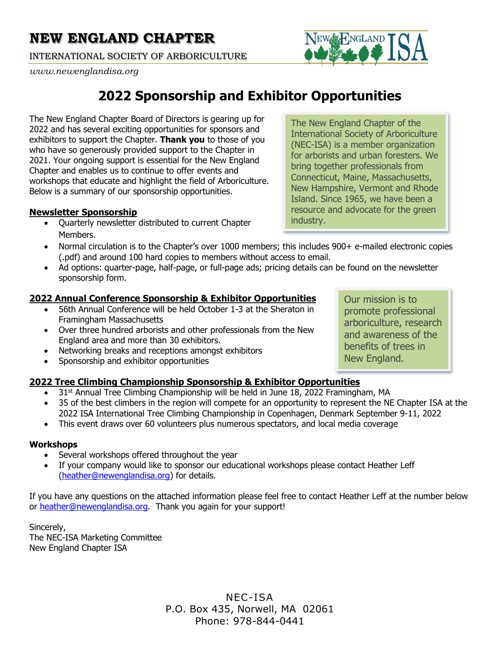INTERNATIONAL SOCIETY OF ARBORICULTURE

#### *www.newenglandisa.org*



The New England Chapter Board of Directors is gearing up for 2022 and has several exciting opportunities for sponsors and exhibitors to support the Chapter. **Thank you** to those of you who have so generously provided support to the Chapter in 2021. Your ongoing support is essential for the New England Chapter and enables us to continue to offer events and workshops that educate and highlight the field of Arboriculture. Below is a summary of our sponsorship opportunities.

#### **[Newsletter Sponsorship](#page-1-0)**

• Quarterly newsletter distributed to current Chapter Members.

The New England Chapter of the International Society of Arboriculture (NEC-ISA) is a member organization for arborists and urban foresters. We bring together professionals from Connecticut, Maine, Massachusetts, New Hampshire, Vermont and Rhode Island. Since 1965, we have been a resource and advocate for the green industry.

- Normal circulation is to the Chapter's over 1000 members; this includes 900+ e-mailed electronic copies (.pdf) and around 100 hard copies to members without access to email.
- Ad options: quarter-page, half-page, or full-page ads; pricing details can be found on the newsletter sponsorship form.

### **[2022 Annual Conference Sponsorship & Exhibitor Opportunities](#page-2-0)**

- 56th Annual Conference will be held October 1-3 at the Sheraton in Framingham Massachusetts
- Over three hundred arborists and other professionals from the New England area and more than 30 exhibitors.
- Networking breaks and receptions amongst exhibitors
- Sponsorship and exhibitor opportunities

### **[2022 Tree Climbing Championship Sponsorship & Exhibitor Opportunities](#page-4-0)**

- 31<sup>st</sup> Annual Tree Climbing Championship will be held in June 18, 2022 Framingham, MA
- 35 of the best climbers in the region will compete for an opportunity to represent the NE Chapter ISA at the 2022 ISA International Tree Climbing Championship in Copenhagen, Denmark September 9-11, 2022
- This event draws over 60 volunteers plus numerous spectators, and local media coverage

#### **Workshops**

- Several workshops offered throughout the year
- If your company would like to sponsor our educational workshops please contact Heather Leff [\(heather@newenglandisa.org\)](mailto:heather@newenglandisa.org) for details.

If you have any questions on the attached information please feel free to contact Heather Leff at the number below or [heather@newenglandisa.org.](mailto:heather@newenglandisa.org) Thank you again for your support!

Sincerely, The NEC-ISA Marketing Committee New England Chapter ISA

> NEC-ISA P.O. Box 435, Norwell, MA 02061 Phone: 978-844-0441

Our mission is to promote professional arboriculture, research and awareness of the benefits of trees in New England.

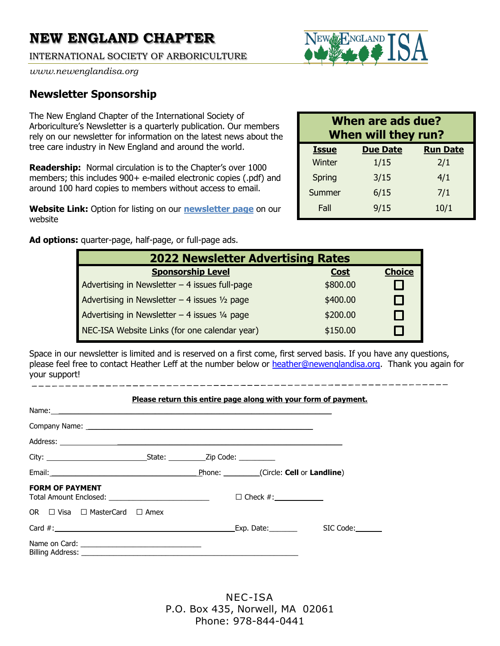INTERNATIONAL SOCIETY OF ARBORICULTURE



## <span id="page-1-0"></span>**Newsletter Sponsorship**

The New England Chapter of the International Society of Arboriculture's Newsletter is a quarterly publication. Our members rely on our newsletter for information on the latest news about the tree care industry in New England and around the world.

**Readership:** Normal circulation is to the Chapter's over 1000 members; this includes 900+ e-mailed electronic copies (.pdf) and around 100 hard copies to members without access to email.

**Website Link:** Option for listing on our **[newsletter page](https://newenglandisa.org/news/newsletters)** on our website

**When are ads due? When will they run? Issue Due Date Run Date** Winter 1/15 2/1 Spring 3/15 4/1 Summer 6/15 7/1 Fall 9/15 10/1

**Ad options:** quarter-page, half-page, or full-page ads.

| <b>2022 Newsletter Advertising Rates</b>                 |             |               |  |  |
|----------------------------------------------------------|-------------|---------------|--|--|
| <b>Sponsorship Level</b>                                 | <b>Cost</b> | <b>Choice</b> |  |  |
| Advertising in Newsletter $-4$ issues full-page          | \$800.00    |               |  |  |
| Advertising in Newsletter $-$ 4 issues $1/2$ page        | \$400.00    |               |  |  |
| Advertising in Newsletter $-4$ issues $\frac{1}{4}$ page | \$200.00    |               |  |  |
| NEC-ISA Website Links (for one calendar year)            | \$150.00    |               |  |  |

Space in our newsletter is limited and is reserved on a first come, first served basis. If you have any questions, please feel free to contact Heather Leff at the number below or [heather@newenglandisa.org.](mailto:heather@newenglandisa.org) Thank you again for your support!

|                                                                                  |  |                      | Please return this entire page along with your form of payment. |
|----------------------------------------------------------------------------------|--|----------------------|-----------------------------------------------------------------|
|                                                                                  |  |                      |                                                                 |
|                                                                                  |  |                      |                                                                 |
|                                                                                  |  |                      |                                                                 |
|                                                                                  |  |                      |                                                                 |
| Email: Circle: Cell or Landline)                                                 |  |                      |                                                                 |
| <b>FORM OF PAYMENT</b><br>Total Amount Enclosed: _______________________________ |  |                      |                                                                 |
| OR $\Box$ Visa $\Box$ MasterCard $\Box$ Amex                                     |  |                      |                                                                 |
|                                                                                  |  | Exp. Date: SIC Code: |                                                                 |
|                                                                                  |  |                      |                                                                 |

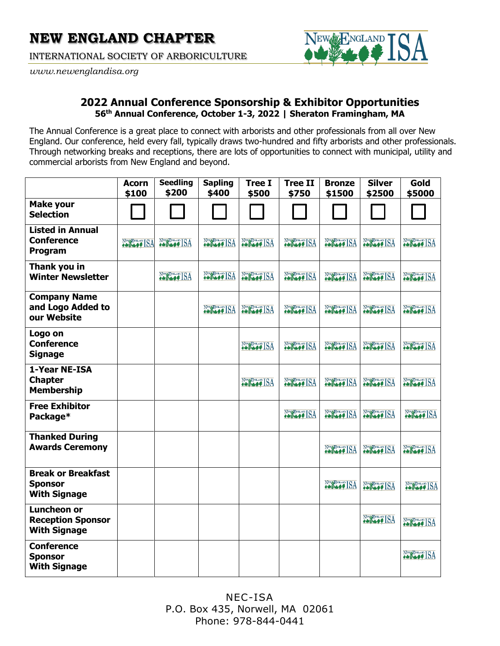

<span id="page-2-0"></span>*www.newenglandisa.org*

### **2022 Annual Conference Sponsorship & Exhibitor Opportunities 56th Annual Conference, October 1-3, 2022 | Sheraton Framingham, MA**

The Annual Conference is a great place to connect with arborists and other professionals from all over New England. Our conference, held every fall, typically draws two-hundred and fifty arborists and other professionals. Through networking breaks and receptions, there are lots of opportunities to connect with municipal, utility and commercial arborists from New England and beyond.

|                                                                       | <b>Acorn</b><br>\$100 | <b>Seedling</b><br>\$200 | <b>Sapling</b><br>\$400 | <b>Tree I</b><br>\$500 | <b>Tree II</b><br>\$750 | <b>Bronze</b><br>\$1500 | <b>Silver</b><br>\$2500 | Gold<br>\$5000 |
|-----------------------------------------------------------------------|-----------------------|--------------------------|-------------------------|------------------------|-------------------------|-------------------------|-------------------------|----------------|
| <b>Make your</b><br><b>Selection</b>                                  |                       |                          |                         |                        |                         |                         |                         |                |
| <b>Listed in Annual</b><br><b>Conference</b><br>Program               | NEW THE ISA           | November ISA             | November ISA            | November ISA           | New THE ISA             | Note of ISA             | Note of ISA             | NEW ISA        |
| Thank you in<br><b>Winter Newsletter</b>                              |                       | NEW BOAT ISA             | NEW OF ISA              | NEW THE ISA            | New ISA                 | New Beauty ISA          | No Second ISA           | NEW ISA        |
| <b>Company Name</b><br>and Logo Added to<br>our Website               |                       |                          | NEW YORK ISA            | NEW BEAT ISA           | November ISA            | NEW YORK ISA            | NEW YORK ISA            | NEW ISA        |
| Logo on<br><b>Conference</b><br><b>Signage</b>                        |                       |                          |                         | NEW ISA                | No Second ISA           | NEW ISA                 | NEW ISA                 | NEW ISA        |
| 1-Year NE-ISA<br><b>Chapter</b><br><b>Membership</b>                  |                       |                          |                         | NEW BROADWISA          | New THE ISA             | Note of ISA             | Note of ISA             | Note of ISA    |
| <b>Free Exhibitor</b><br>Package*                                     |                       |                          |                         |                        | NEW BOAT ISA            | NEW ISA                 | NEW ISA                 | NEW ISA        |
| <b>Thanked During</b><br><b>Awards Ceremony</b>                       |                       |                          |                         |                        |                         | NEW OF ISA              | NEW BOAT ISA            | NEW OF ISA     |
| <b>Break or Breakfast</b><br><b>Sponsor</b><br><b>With Signage</b>    |                       |                          |                         |                        |                         | NEW BOARD ISA           | New Beautist            | New Base ISA   |
| <b>Luncheon or</b><br><b>Reception Sponsor</b><br><b>With Signage</b> |                       |                          |                         |                        |                         |                         | NEW THE ISA             | NEW OF ISA     |
| <b>Conference</b><br><b>Sponsor</b><br><b>With Signage</b>            |                       |                          |                         |                        |                         |                         |                         | NEW ISA        |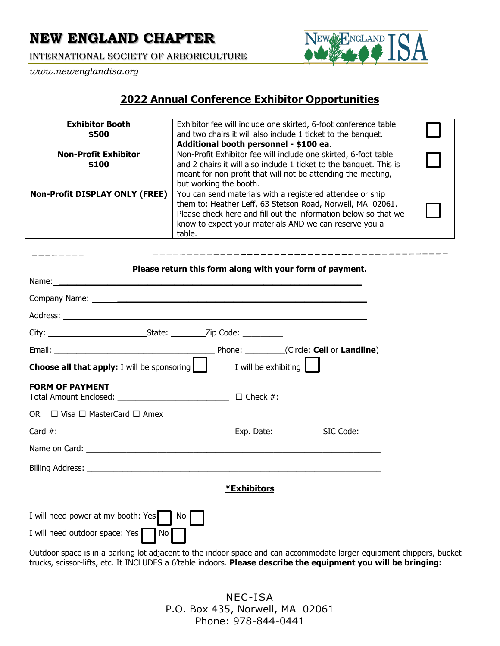INTERNATIONAL SOCIETY OF ARBORICULTURE



*www.newenglandisa.org*

## **2022 Annual Conference Exhibitor Opportunities**

| <b>Exhibitor Booth</b><br>\$500       | Exhibitor fee will include one skirted, 6-foot conference table<br>and two chairs it will also include 1 ticket to the banquet.<br>Additional booth personnel - \$100 ea.                                                                                      |  |
|---------------------------------------|----------------------------------------------------------------------------------------------------------------------------------------------------------------------------------------------------------------------------------------------------------------|--|
| <b>Non-Profit Exhibitor</b><br>\$100  | Non-Profit Exhibitor fee will include one skirted, 6-foot table<br>and 2 chairs it will also include 1 ticket to the banquet. This is<br>meant for non-profit that will not be attending the meeting,<br>but working the booth.                                |  |
| <b>Non-Profit DISPLAY ONLY (FREE)</b> | You can send materials with a registered attendee or ship<br>them to: Heather Leff, 63 Stetson Road, Norwell, MA 02061.<br>Please check here and fill out the information below so that we<br>know to expect your materials AND we can reserve you a<br>table. |  |

## **Please return this form along with your form of payment.**

|                                                                                                           | Phone: ________(Circle: Cell or Landline) |  |
|-----------------------------------------------------------------------------------------------------------|-------------------------------------------|--|
| <b>Choose all that apply:</b> I will be sponsoring <b>in the South State 1 will be exhibiting</b>         |                                           |  |
| <b>FORM OF PAYMENT</b><br>Total Amount Enclosed: __________________________________ □ Check #:___________ |                                           |  |
| OR $\Box$ Visa $\Box$ MasterCard $\Box$ Amex                                                              |                                           |  |
|                                                                                                           |                                           |  |
|                                                                                                           |                                           |  |
|                                                                                                           |                                           |  |
|                                                                                                           | *Exhibitors                               |  |
| I will need power at my booth: Yes<br>No                                                                  |                                           |  |
| I will need outdoor space: Yes  <br>No I                                                                  |                                           |  |

Outdoor space is in a parking lot adjacent to the indoor space and can accommodate larger equipment chippers, bucket trucks, scissor-lifts, etc. It INCLUDES a 6'table indoors. **Please describe the equipment you will be bringing:**

> NEC-ISA P.O. Box 435, Norwell, MA 02061 Phone: 978-844-0441